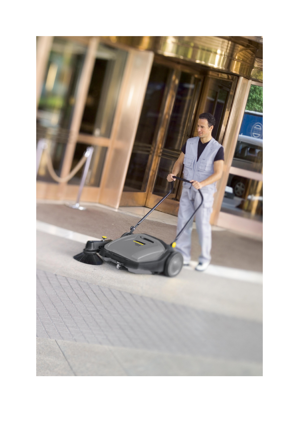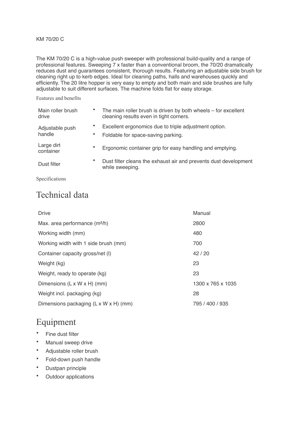## KM 70/20 C

The KM 70/20 C is a high-value push sweeper with professional build-quality and a range of professional features. Sweeping 7 x faster than a conventional broom, the 70/20 dramatically reduces dust and guarantees consistent, thorough results. Featuring an adjustable side brush for cleaning right up to kerb edges. Ideal for cleaning paths, halls and warehouses quickly and efficiently. The 20 litre hopper is very easy to empty and both main and side brushes are fully adjustable to suit different surfaces. The machine folds flat for easy storage.

Features and benefits

| Main roller brush<br>drive | $\bullet$ | The main roller brush is driven by both wheels $-$ for excellent<br>cleaning results even in tight corners. |
|----------------------------|-----------|-------------------------------------------------------------------------------------------------------------|
| Adjustable push<br>handle  | ٠         | Excellent ergonomics due to triple adjustment option.<br>Foldable for space-saving parking.                 |
| Large dirt<br>container    | $\bullet$ | Ergonomic container grip for easy handling and emptying.                                                    |
| Dust filter                | $\bullet$ | Dust filter cleans the exhaust air and prevents dust development<br>while sweeping.                         |

Specifications

## Technical data

| <b>Drive</b>                              | Manual            |
|-------------------------------------------|-------------------|
| Max. area performance (m <sup>2</sup> /h) | 2800              |
| Working width (mm)                        | 480               |
| Working width with 1 side brush (mm)      | 700               |
| Container capacity gross/net (I)          | 42/20             |
| Weight (kg)                               | 23                |
| Weight, ready to operate (kg)             | 23                |
| Dimensions (L x W x H) (mm)               | 1300 x 765 x 1035 |
| Weight incl. packaging (kg)               | 28                |
| Dimensions packaging (L x W x H) (mm)     | 795 / 400 / 935   |

## Equipment

- Fine dust filter
- Manual sweep drive
- Adjustable roller brush
- Fold-down push handle
- Dustpan principle
- Outdoor applications